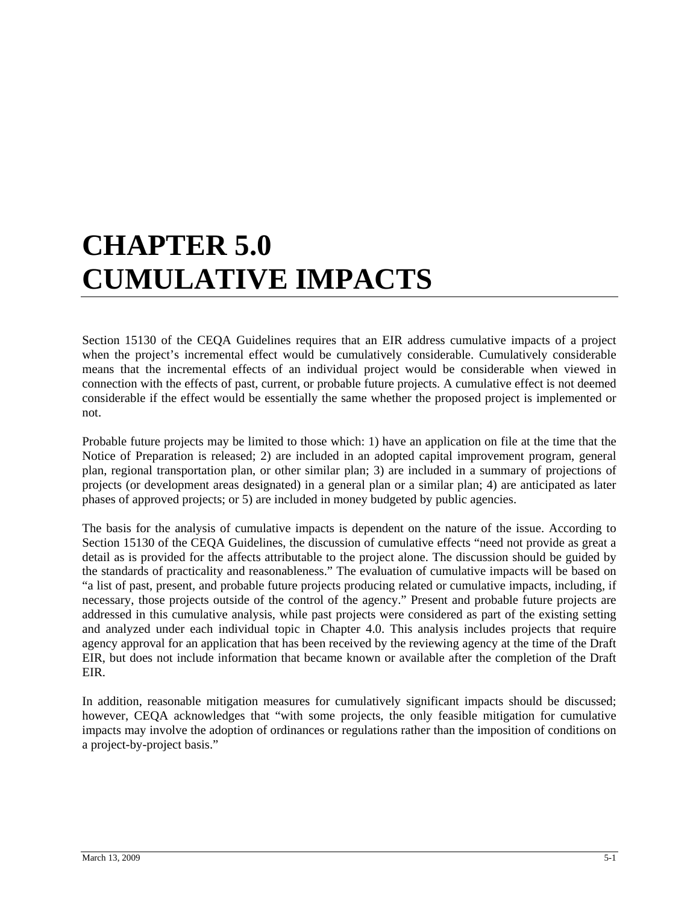# **CHAPTER 5.0 CUMULATIVE IMPACTS**

Section 15130 of the CEQA Guidelines requires that an EIR address cumulative impacts of a project when the project's incremental effect would be cumulatively considerable. Cumulatively considerable means that the incremental effects of an individual project would be considerable when viewed in connection with the effects of past, current, or probable future projects. A cumulative effect is not deemed considerable if the effect would be essentially the same whether the proposed project is implemented or not.

Probable future projects may be limited to those which: 1) have an application on file at the time that the Notice of Preparation is released; 2) are included in an adopted capital improvement program, general plan, regional transportation plan, or other similar plan; 3) are included in a summary of projections of projects (or development areas designated) in a general plan or a similar plan; 4) are anticipated as later phases of approved projects; or 5) are included in money budgeted by public agencies.

The basis for the analysis of cumulative impacts is dependent on the nature of the issue. According to Section 15130 of the CEQA Guidelines, the discussion of cumulative effects "need not provide as great a detail as is provided for the affects attributable to the project alone. The discussion should be guided by the standards of practicality and reasonableness." The evaluation of cumulative impacts will be based on "a list of past, present, and probable future projects producing related or cumulative impacts, including, if necessary, those projects outside of the control of the agency." Present and probable future projects are addressed in this cumulative analysis, while past projects were considered as part of the existing setting and analyzed under each individual topic in Chapter 4.0. This analysis includes projects that require agency approval for an application that has been received by the reviewing agency at the time of the Draft EIR, but does not include information that became known or available after the completion of the Draft EIR.

In addition, reasonable mitigation measures for cumulatively significant impacts should be discussed; however, CEQA acknowledges that "with some projects, the only feasible mitigation for cumulative impacts may involve the adoption of ordinances or regulations rather than the imposition of conditions on a project-by-project basis."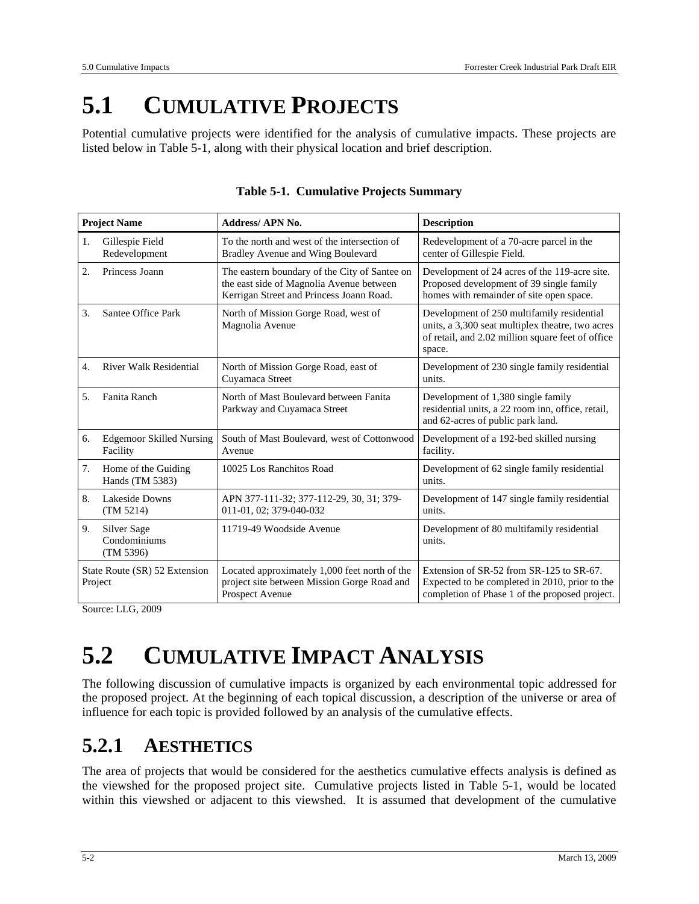## **5.1 CUMULATIVE PROJECTS**

Potential cumulative projects were identified for the analysis of cumulative impacts. These projects are listed below in Table 5-1, along with their physical location and brief description.

| <b>Project Name</b>                      |                                             | <b>Address/APN No.</b>                                                                                                                | <b>Description</b>                                                                                                                                            |  |  |
|------------------------------------------|---------------------------------------------|---------------------------------------------------------------------------------------------------------------------------------------|---------------------------------------------------------------------------------------------------------------------------------------------------------------|--|--|
| 1.                                       | Gillespie Field<br>Redevelopment            | To the north and west of the intersection of<br>Bradley Avenue and Wing Boulevard                                                     | Redevelopment of a 70-acre parcel in the<br>center of Gillespie Field.                                                                                        |  |  |
| 2.                                       | Princess Joann                              | The eastern boundary of the City of Santee on<br>the east side of Magnolia Avenue between<br>Kerrigan Street and Princess Joann Road. | Development of 24 acres of the 119-acre site.<br>Proposed development of 39 single family<br>homes with remainder of site open space.                         |  |  |
| 3.                                       | Santee Office Park                          | North of Mission Gorge Road, west of<br>Magnolia Avenue                                                                               | Development of 250 multifamily residential<br>units, a 3,300 seat multiplex theatre, two acres<br>of retail, and 2.02 million square feet of office<br>space. |  |  |
| $\overline{4}$ .                         | River Walk Residential                      | North of Mission Gorge Road, east of<br>Cuyamaca Street                                                                               | Development of 230 single family residential<br>units.                                                                                                        |  |  |
| 5.                                       | Fanita Ranch                                | North of Mast Boulevard between Fanita<br>Parkway and Cuyamaca Street                                                                 | Development of 1,380 single family<br>residential units, a 22 room inn, office, retail,<br>and 62-acres of public park land.                                  |  |  |
| 6.                                       | <b>Edgemoor Skilled Nursing</b><br>Facility | South of Mast Boulevard, west of Cottonwood<br>Avenue                                                                                 | Development of a 192-bed skilled nursing<br>facility.                                                                                                         |  |  |
| 7.                                       | Home of the Guiding<br>Hands (TM 5383)      | 10025 Los Ranchitos Road                                                                                                              | Development of 62 single family residential<br>units.                                                                                                         |  |  |
| 8.                                       | Lakeside Downs<br>(TM 5214)                 | APN 377-111-32; 377-112-29, 30, 31; 379-<br>011-01, 02; 379-040-032                                                                   | Development of 147 single family residential<br>units.                                                                                                        |  |  |
| 9.                                       | Silver Sage<br>Condominiums<br>(TM 5396)    | 11719-49 Woodside Avenue                                                                                                              | Development of 80 multifamily residential<br>units.                                                                                                           |  |  |
| State Route (SR) 52 Extension<br>Project |                                             | Located approximately 1,000 feet north of the<br>project site between Mission Gorge Road and<br>Prospect Avenue                       | Extension of SR-52 from SR-125 to SR-67.<br>Expected to be completed in 2010, prior to the<br>completion of Phase 1 of the proposed project.                  |  |  |

Source: LLG, 2009

## **5.2 CUMULATIVE IMPACT ANALYSIS**

The following discussion of cumulative impacts is organized by each environmental topic addressed for the proposed project. At the beginning of each topical discussion, a description of the universe or area of influence for each topic is provided followed by an analysis of the cumulative effects.

#### **5.2.1 AESTHETICS**

The area of projects that would be considered for the aesthetics cumulative effects analysis is defined as the viewshed for the proposed project site. Cumulative projects listed in Table 5-1, would be located within this viewshed or adjacent to this viewshed. It is assumed that development of the cumulative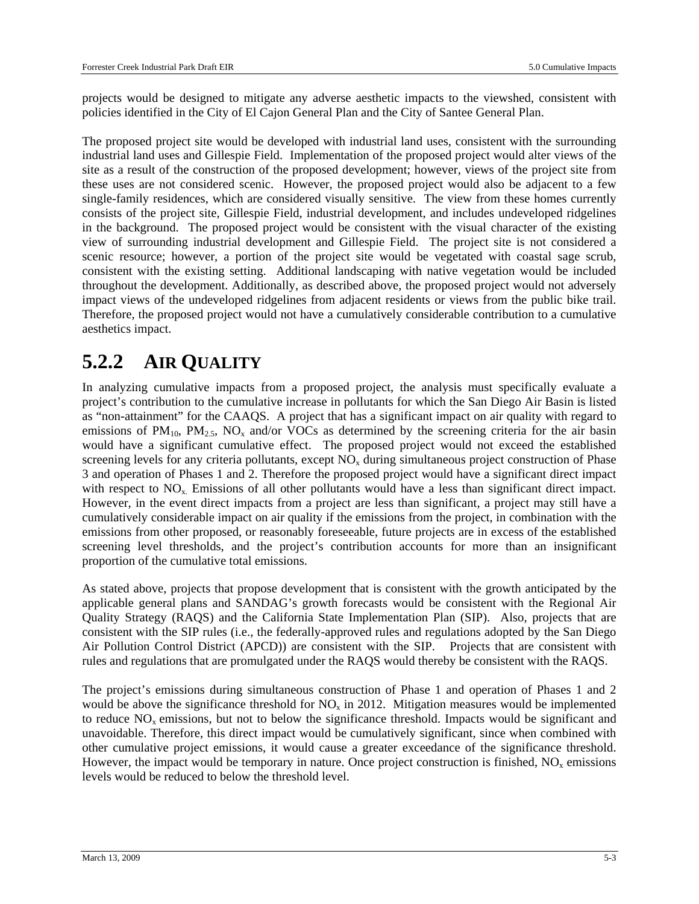projects would be designed to mitigate any adverse aesthetic impacts to the viewshed, consistent with policies identified in the City of El Cajon General Plan and the City of Santee General Plan.

The proposed project site would be developed with industrial land uses, consistent with the surrounding industrial land uses and Gillespie Field. Implementation of the proposed project would alter views of the site as a result of the construction of the proposed development; however, views of the project site from these uses are not considered scenic. However, the proposed project would also be adjacent to a few single-family residences, which are considered visually sensitive. The view from these homes currently consists of the project site, Gillespie Field, industrial development, and includes undeveloped ridgelines in the background. The proposed project would be consistent with the visual character of the existing view of surrounding industrial development and Gillespie Field. The project site is not considered a scenic resource; however, a portion of the project site would be vegetated with coastal sage scrub, consistent with the existing setting. Additional landscaping with native vegetation would be included throughout the development. Additionally, as described above, the proposed project would not adversely impact views of the undeveloped ridgelines from adjacent residents or views from the public bike trail. Therefore, the proposed project would not have a cumulatively considerable contribution to a cumulative aesthetics impact.

#### **5.2.2 AIR QUALITY**

In analyzing cumulative impacts from a proposed project, the analysis must specifically evaluate a project's contribution to the cumulative increase in pollutants for which the San Diego Air Basin is listed as "non-attainment" for the CAAQS. A project that has a significant impact on air quality with regard to emissions of  $PM_{10}$ ,  $PM_{2.5}$ ,  $NO<sub>x</sub>$  and/or VOCs as determined by the screening criteria for the air basin would have a significant cumulative effect. The proposed project would not exceed the established screening levels for any criteria pollutants, except  $\overline{NO_x}$  during simultaneous project construction of Phase 3 and operation of Phases 1 and 2. Therefore the proposed project would have a significant direct impact with respect to  $NO<sub>x</sub>$ . Emissions of all other pollutants would have a less than significant direct impact. However, in the event direct impacts from a project are less than significant, a project may still have a cumulatively considerable impact on air quality if the emissions from the project, in combination with the emissions from other proposed, or reasonably foreseeable, future projects are in excess of the established screening level thresholds, and the project's contribution accounts for more than an insignificant proportion of the cumulative total emissions.

As stated above, projects that propose development that is consistent with the growth anticipated by the applicable general plans and SANDAG's growth forecasts would be consistent with the Regional Air Quality Strategy (RAQS) and the California State Implementation Plan (SIP). Also, projects that are consistent with the SIP rules (i.e., the federally-approved rules and regulations adopted by the San Diego Air Pollution Control District (APCD)) are consistent with the SIP. Projects that are consistent with rules and regulations that are promulgated under the RAQS would thereby be consistent with the RAQS.

The project's emissions during simultaneous construction of Phase 1 and operation of Phases 1 and 2 would be above the significance threshold for  $NO<sub>x</sub>$  in 2012. Mitigation measures would be implemented to reduce  $NO<sub>x</sub>$  emissions, but not to below the significance threshold. Impacts would be significant and unavoidable. Therefore, this direct impact would be cumulatively significant, since when combined with other cumulative project emissions, it would cause a greater exceedance of the significance threshold. However, the impact would be temporary in nature. Once project construction is finished,  $NO<sub>x</sub>$  emissions levels would be reduced to below the threshold level.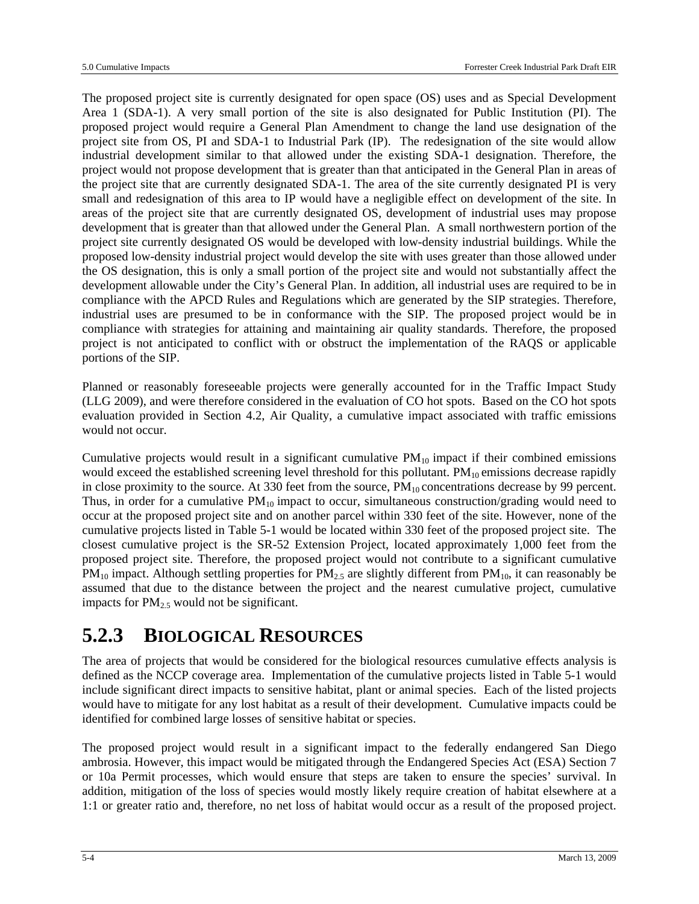The proposed project site is currently designated for open space (OS) uses and as Special Development Area 1 (SDA-1). A very small portion of the site is also designated for Public Institution (PI). The proposed project would require a General Plan Amendment to change the land use designation of the project site from OS, PI and SDA-1 to Industrial Park (IP). The redesignation of the site would allow industrial development similar to that allowed under the existing SDA-1 designation. Therefore, the project would not propose development that is greater than that anticipated in the General Plan in areas of the project site that are currently designated SDA-1. The area of the site currently designated PI is very small and redesignation of this area to IP would have a negligible effect on development of the site. In areas of the project site that are currently designated OS, development of industrial uses may propose development that is greater than that allowed under the General Plan. A small northwestern portion of the project site currently designated OS would be developed with low-density industrial buildings. While the proposed low-density industrial project would develop the site with uses greater than those allowed under the OS designation, this is only a small portion of the project site and would not substantially affect the development allowable under the City's General Plan. In addition, all industrial uses are required to be in compliance with the APCD Rules and Regulations which are generated by the SIP strategies. Therefore, industrial uses are presumed to be in conformance with the SIP. The proposed project would be in compliance with strategies for attaining and maintaining air quality standards. Therefore, the proposed project is not anticipated to conflict with or obstruct the implementation of the RAQS or applicable portions of the SIP.

Planned or reasonably foreseeable projects were generally accounted for in the Traffic Impact Study (LLG 2009), and were therefore considered in the evaluation of CO hot spots. Based on the CO hot spots evaluation provided in Section 4.2, Air Quality, a cumulative impact associated with traffic emissions would not occur.

Cumulative projects would result in a significant cumulative  $PM_{10}$  impact if their combined emissions would exceed the established screening level threshold for this pollutant.  $PM_{10}$  emissions decrease rapidly in close proximity to the source. At 330 feet from the source,  $PM_{10}$  concentrations decrease by 99 percent. Thus, in order for a cumulative  $PM_{10}$  impact to occur, simultaneous construction/grading would need to occur at the proposed project site and on another parcel within 330 feet of the site. However, none of the cumulative projects listed in Table 5-1 would be located within 330 feet of the proposed project site. The closest cumulative project is the SR-52 Extension Project, located approximately 1,000 feet from the proposed project site. Therefore, the proposed project would not contribute to a significant cumulative  $PM_{10}$  impact. Although settling properties for  $PM_{2.5}$  are slightly different from  $PM_{10}$ , it can reasonably be assumed that due to the distance between the project and the nearest cumulative project, cumulative impacts for  $PM_{2.5}$  would not be significant.

## **5.2.3 BIOLOGICAL RESOURCES**

The area of projects that would be considered for the biological resources cumulative effects analysis is defined as the NCCP coverage area. Implementation of the cumulative projects listed in Table 5-1 would include significant direct impacts to sensitive habitat, plant or animal species. Each of the listed projects would have to mitigate for any lost habitat as a result of their development. Cumulative impacts could be identified for combined large losses of sensitive habitat or species.

The proposed project would result in a significant impact to the federally endangered San Diego ambrosia. However, this impact would be mitigated through the Endangered Species Act (ESA) Section 7 or 10a Permit processes, which would ensure that steps are taken to ensure the species' survival. In addition, mitigation of the loss of species would mostly likely require creation of habitat elsewhere at a 1:1 or greater ratio and, therefore, no net loss of habitat would occur as a result of the proposed project.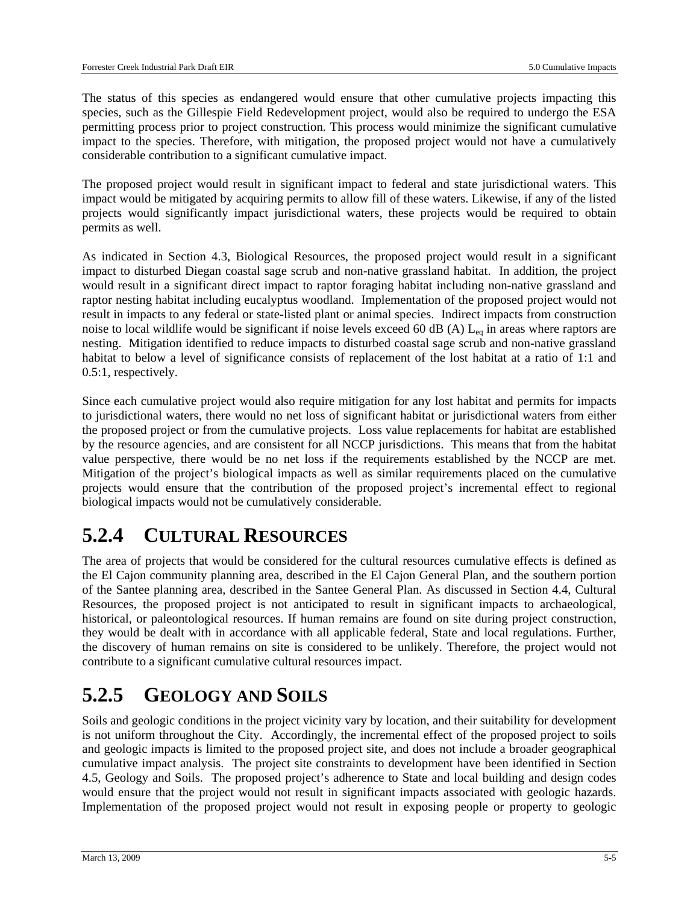The status of this species as endangered would ensure that other cumulative projects impacting this species, such as the Gillespie Field Redevelopment project, would also be required to undergo the ESA permitting process prior to project construction. This process would minimize the significant cumulative impact to the species. Therefore, with mitigation, the proposed project would not have a cumulatively considerable contribution to a significant cumulative impact.

The proposed project would result in significant impact to federal and state jurisdictional waters. This impact would be mitigated by acquiring permits to allow fill of these waters. Likewise, if any of the listed projects would significantly impact jurisdictional waters, these projects would be required to obtain permits as well.

As indicated in Section 4.3, Biological Resources, the proposed project would result in a significant impact to disturbed Diegan coastal sage scrub and non-native grassland habitat. In addition, the project would result in a significant direct impact to raptor foraging habitat including non-native grassland and raptor nesting habitat including eucalyptus woodland. Implementation of the proposed project would not result in impacts to any federal or state-listed plant or animal species. Indirect impacts from construction noise to local wildlife would be significant if noise levels exceed 60 dB (A)  $L_{eq}$  in areas where raptors are nesting. Mitigation identified to reduce impacts to disturbed coastal sage scrub and non-native grassland habitat to below a level of significance consists of replacement of the lost habitat at a ratio of 1:1 and 0.5:1, respectively.

Since each cumulative project would also require mitigation for any lost habitat and permits for impacts to jurisdictional waters, there would no net loss of significant habitat or jurisdictional waters from either the proposed project or from the cumulative projects. Loss value replacements for habitat are established by the resource agencies, and are consistent for all NCCP jurisdictions. This means that from the habitat value perspective, there would be no net loss if the requirements established by the NCCP are met. Mitigation of the project's biological impacts as well as similar requirements placed on the cumulative projects would ensure that the contribution of the proposed project's incremental effect to regional biological impacts would not be cumulatively considerable.

#### **5.2.4 CULTURAL RESOURCES**

The area of projects that would be considered for the cultural resources cumulative effects is defined as the El Cajon community planning area, described in the El Cajon General Plan, and the southern portion of the Santee planning area, described in the Santee General Plan. As discussed in Section 4.4, Cultural Resources, the proposed project is not anticipated to result in significant impacts to archaeological, historical, or paleontological resources. If human remains are found on site during project construction, they would be dealt with in accordance with all applicable federal, State and local regulations. Further, the discovery of human remains on site is considered to be unlikely. Therefore, the project would not contribute to a significant cumulative cultural resources impact.

#### **5.2.5 GEOLOGY AND SOILS**

Soils and geologic conditions in the project vicinity vary by location, and their suitability for development is not uniform throughout the City. Accordingly, the incremental effect of the proposed project to soils and geologic impacts is limited to the proposed project site, and does not include a broader geographical cumulative impact analysis. The project site constraints to development have been identified in Section 4.5, Geology and Soils. The proposed project's adherence to State and local building and design codes would ensure that the project would not result in significant impacts associated with geologic hazards. Implementation of the proposed project would not result in exposing people or property to geologic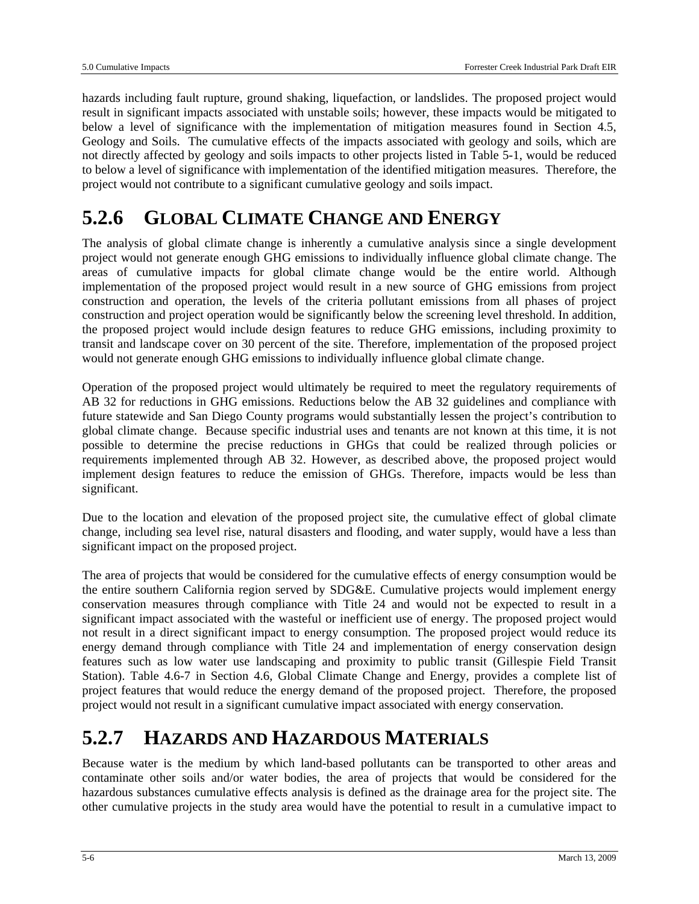hazards including fault rupture, ground shaking, liquefaction, or landslides. The proposed project would result in significant impacts associated with unstable soils; however, these impacts would be mitigated to below a level of significance with the implementation of mitigation measures found in Section 4.5, Geology and Soils. The cumulative effects of the impacts associated with geology and soils, which are not directly affected by geology and soils impacts to other projects listed in Table 5-1, would be reduced to below a level of significance with implementation of the identified mitigation measures. Therefore, the project would not contribute to a significant cumulative geology and soils impact.

#### **5.2.6 GLOBAL CLIMATE CHANGE AND ENERGY**

The analysis of global climate change is inherently a cumulative analysis since a single development project would not generate enough GHG emissions to individually influence global climate change. The areas of cumulative impacts for global climate change would be the entire world. Although implementation of the proposed project would result in a new source of GHG emissions from project construction and operation, the levels of the criteria pollutant emissions from all phases of project construction and project operation would be significantly below the screening level threshold. In addition, the proposed project would include design features to reduce GHG emissions, including proximity to transit and landscape cover on 30 percent of the site. Therefore, implementation of the proposed project would not generate enough GHG emissions to individually influence global climate change.

Operation of the proposed project would ultimately be required to meet the regulatory requirements of AB 32 for reductions in GHG emissions. Reductions below the AB 32 guidelines and compliance with future statewide and San Diego County programs would substantially lessen the project's contribution to global climate change. Because specific industrial uses and tenants are not known at this time, it is not possible to determine the precise reductions in GHGs that could be realized through policies or requirements implemented through AB 32. However, as described above, the proposed project would implement design features to reduce the emission of GHGs. Therefore, impacts would be less than significant.

Due to the location and elevation of the proposed project site, the cumulative effect of global climate change, including sea level rise, natural disasters and flooding, and water supply, would have a less than significant impact on the proposed project.

The area of projects that would be considered for the cumulative effects of energy consumption would be the entire southern California region served by SDG&E. Cumulative projects would implement energy conservation measures through compliance with Title 24 and would not be expected to result in a significant impact associated with the wasteful or inefficient use of energy. The proposed project would not result in a direct significant impact to energy consumption. The proposed project would reduce its energy demand through compliance with Title 24 and implementation of energy conservation design features such as low water use landscaping and proximity to public transit (Gillespie Field Transit Station). Table 4.6-7 in Section 4.6, Global Climate Change and Energy, provides a complete list of project features that would reduce the energy demand of the proposed project. Therefore, the proposed project would not result in a significant cumulative impact associated with energy conservation.

## **5.2.7 HAZARDS AND HAZARDOUS MATERIALS**

Because water is the medium by which land-based pollutants can be transported to other areas and contaminate other soils and/or water bodies, the area of projects that would be considered for the hazardous substances cumulative effects analysis is defined as the drainage area for the project site. The other cumulative projects in the study area would have the potential to result in a cumulative impact to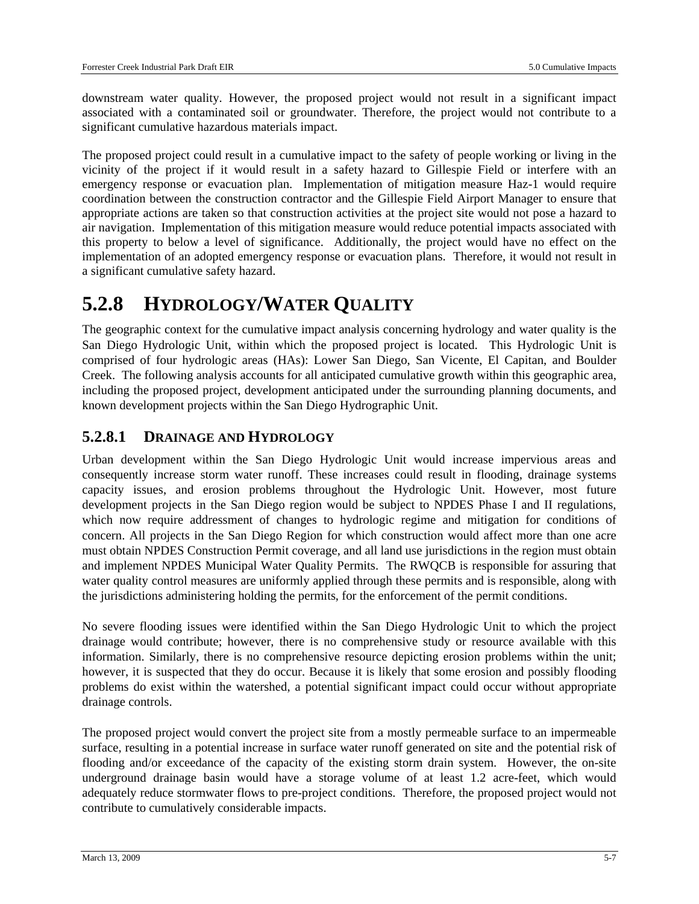downstream water quality. However, the proposed project would not result in a significant impact associated with a contaminated soil or groundwater. Therefore, the project would not contribute to a significant cumulative hazardous materials impact.

The proposed project could result in a cumulative impact to the safety of people working or living in the vicinity of the project if it would result in a safety hazard to Gillespie Field or interfere with an emergency response or evacuation plan. Implementation of mitigation measure Haz-1 would require coordination between the construction contractor and the Gillespie Field Airport Manager to ensure that appropriate actions are taken so that construction activities at the project site would not pose a hazard to air navigation. Implementation of this mitigation measure would reduce potential impacts associated with this property to below a level of significance. Additionally, the project would have no effect on the implementation of an adopted emergency response or evacuation plans. Therefore, it would not result in a significant cumulative safety hazard.

#### **5.2.8 HYDROLOGY/WATER QUALITY**

The geographic context for the cumulative impact analysis concerning hydrology and water quality is the San Diego Hydrologic Unit, within which the proposed project is located. This Hydrologic Unit is comprised of four hydrologic areas (HAs): Lower San Diego, San Vicente, El Capitan, and Boulder Creek. The following analysis accounts for all anticipated cumulative growth within this geographic area, including the proposed project, development anticipated under the surrounding planning documents, and known development projects within the San Diego Hydrographic Unit.

#### **5.2.8.1 DRAINAGE AND HYDROLOGY**

Urban development within the San Diego Hydrologic Unit would increase impervious areas and consequently increase storm water runoff. These increases could result in flooding, drainage systems capacity issues, and erosion problems throughout the Hydrologic Unit. However, most future development projects in the San Diego region would be subject to NPDES Phase I and II regulations, which now require addressment of changes to hydrologic regime and mitigation for conditions of concern. All projects in the San Diego Region for which construction would affect more than one acre must obtain NPDES Construction Permit coverage, and all land use jurisdictions in the region must obtain and implement NPDES Municipal Water Quality Permits. The RWQCB is responsible for assuring that water quality control measures are uniformly applied through these permits and is responsible, along with the jurisdictions administering holding the permits, for the enforcement of the permit conditions.

No severe flooding issues were identified within the San Diego Hydrologic Unit to which the project drainage would contribute; however, there is no comprehensive study or resource available with this information. Similarly, there is no comprehensive resource depicting erosion problems within the unit; however, it is suspected that they do occur. Because it is likely that some erosion and possibly flooding problems do exist within the watershed, a potential significant impact could occur without appropriate drainage controls.

The proposed project would convert the project site from a mostly permeable surface to an impermeable surface, resulting in a potential increase in surface water runoff generated on site and the potential risk of flooding and/or exceedance of the capacity of the existing storm drain system. However, the on-site underground drainage basin would have a storage volume of at least 1.2 acre-feet, which would adequately reduce stormwater flows to pre-project conditions. Therefore, the proposed project would not contribute to cumulatively considerable impacts.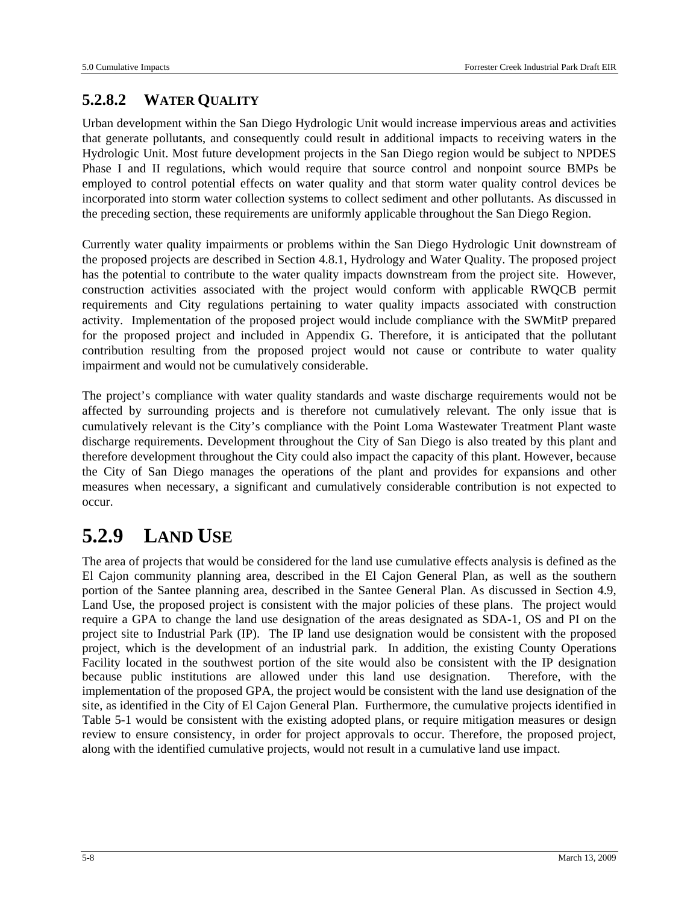#### **5.2.8.2 WATER QUALITY**

Urban development within the San Diego Hydrologic Unit would increase impervious areas and activities that generate pollutants, and consequently could result in additional impacts to receiving waters in the Hydrologic Unit. Most future development projects in the San Diego region would be subject to NPDES Phase I and II regulations, which would require that source control and nonpoint source BMPs be employed to control potential effects on water quality and that storm water quality control devices be incorporated into storm water collection systems to collect sediment and other pollutants. As discussed in the preceding section, these requirements are uniformly applicable throughout the San Diego Region.

Currently water quality impairments or problems within the San Diego Hydrologic Unit downstream of the proposed projects are described in Section 4.8.1, Hydrology and Water Quality. The proposed project has the potential to contribute to the water quality impacts downstream from the project site. However, construction activities associated with the project would conform with applicable RWQCB permit requirements and City regulations pertaining to water quality impacts associated with construction activity. Implementation of the proposed project would include compliance with the SWMitP prepared for the proposed project and included in Appendix G. Therefore, it is anticipated that the pollutant contribution resulting from the proposed project would not cause or contribute to water quality impairment and would not be cumulatively considerable.

The project's compliance with water quality standards and waste discharge requirements would not be affected by surrounding projects and is therefore not cumulatively relevant. The only issue that is cumulatively relevant is the City's compliance with the Point Loma Wastewater Treatment Plant waste discharge requirements. Development throughout the City of San Diego is also treated by this plant and therefore development throughout the City could also impact the capacity of this plant. However, because the City of San Diego manages the operations of the plant and provides for expansions and other measures when necessary, a significant and cumulatively considerable contribution is not expected to occur.

## **5.2.9 LAND USE**

The area of projects that would be considered for the land use cumulative effects analysis is defined as the El Cajon community planning area, described in the El Cajon General Plan, as well as the southern portion of the Santee planning area, described in the Santee General Plan. As discussed in Section 4.9, Land Use, the proposed project is consistent with the major policies of these plans. The project would require a GPA to change the land use designation of the areas designated as SDA-1, OS and PI on the project site to Industrial Park (IP). The IP land use designation would be consistent with the proposed project, which is the development of an industrial park. In addition, the existing County Operations Facility located in the southwest portion of the site would also be consistent with the IP designation because public institutions are allowed under this land use designation. Therefore, with the implementation of the proposed GPA, the project would be consistent with the land use designation of the site, as identified in the City of El Cajon General Plan. Furthermore, the cumulative projects identified in Table 5-1 would be consistent with the existing adopted plans, or require mitigation measures or design review to ensure consistency, in order for project approvals to occur. Therefore, the proposed project, along with the identified cumulative projects, would not result in a cumulative land use impact.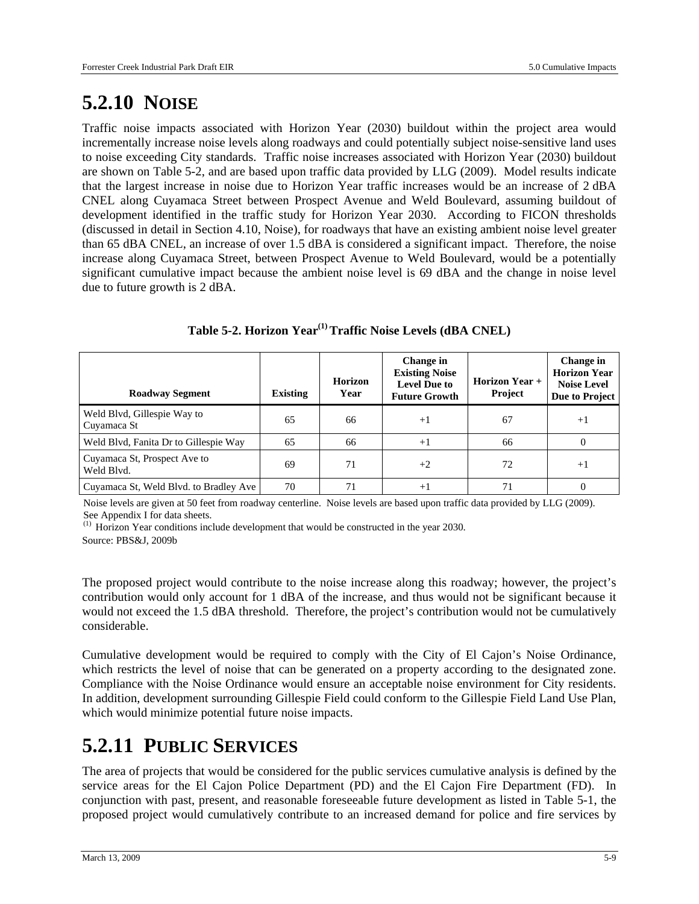## **5.2.10 NOISE**

Traffic noise impacts associated with Horizon Year (2030) buildout within the project area would incrementally increase noise levels along roadways and could potentially subject noise-sensitive land uses to noise exceeding City standards. Traffic noise increases associated with Horizon Year (2030) buildout are shown on Table 5-2, and are based upon traffic data provided by LLG (2009). Model results indicate that the largest increase in noise due to Horizon Year traffic increases would be an increase of 2 dBA CNEL along Cuyamaca Street between Prospect Avenue and Weld Boulevard, assuming buildout of development identified in the traffic study for Horizon Year 2030. According to FICON thresholds (discussed in detail in Section 4.10, Noise), for roadways that have an existing ambient noise level greater than 65 dBA CNEL, an increase of over 1.5 dBA is considered a significant impact. Therefore, the noise increase along Cuyamaca Street, between Prospect Avenue to Weld Boulevard, would be a potentially significant cumulative impact because the ambient noise level is 69 dBA and the change in noise level due to future growth is 2 dBA.

|  |  | Table 5-2. Horizon Year <sup>(1)</sup> Traffic Noise Levels (dBA CNEL) |  |
|--|--|------------------------------------------------------------------------|--|
|--|--|------------------------------------------------------------------------|--|

| <b>Roadway Segment</b>                     | Existing | <b>Horizon</b><br>Year | Change in<br><b>Existing Noise</b><br><b>Level Due to</b><br><b>Future Growth</b> | <b>Horizon Year +</b><br><b>Project</b> | Change in<br><b>Horizon Year</b><br><b>Noise Level</b><br>Due to Project |
|--------------------------------------------|----------|------------------------|-----------------------------------------------------------------------------------|-----------------------------------------|--------------------------------------------------------------------------|
| Weld Blvd, Gillespie Way to<br>Cuyamaca St | 65       | 66                     | $+1$                                                                              | 67                                      | $+1$                                                                     |
| Weld Blvd, Fanita Dr to Gillespie Way      | 65       | 66                     | $+1$                                                                              | 66                                      | $\Omega$                                                                 |
| Cuyamaca St, Prospect Ave to<br>Weld Blyd. | 69       | 71                     | $+2$                                                                              | 72                                      | $+1$                                                                     |
| Cuyamaca St, Weld Blvd. to Bradley Ave     | 70       | 71                     | $+1$                                                                              | 71                                      | 0                                                                        |

Noise levels are given at 50 feet from roadway centerline. Noise levels are based upon traffic data provided by LLG (2009). See Appendix I for data sheets.

(1) Horizon Year conditions include development that would be constructed in the year 2030.

Source: PBS&J, 2009b

The proposed project would contribute to the noise increase along this roadway; however, the project's contribution would only account for 1 dBA of the increase, and thus would not be significant because it would not exceed the 1.5 dBA threshold. Therefore, the project's contribution would not be cumulatively considerable.

Cumulative development would be required to comply with the City of El Cajon's Noise Ordinance, which restricts the level of noise that can be generated on a property according to the designated zone. Compliance with the Noise Ordinance would ensure an acceptable noise environment for City residents. In addition, development surrounding Gillespie Field could conform to the Gillespie Field Land Use Plan, which would minimize potential future noise impacts.

#### **5.2.11 PUBLIC SERVICES**

The area of projects that would be considered for the public services cumulative analysis is defined by the service areas for the El Cajon Police Department (PD) and the El Cajon Fire Department (FD). In conjunction with past, present, and reasonable foreseeable future development as listed in Table 5-1, the proposed project would cumulatively contribute to an increased demand for police and fire services by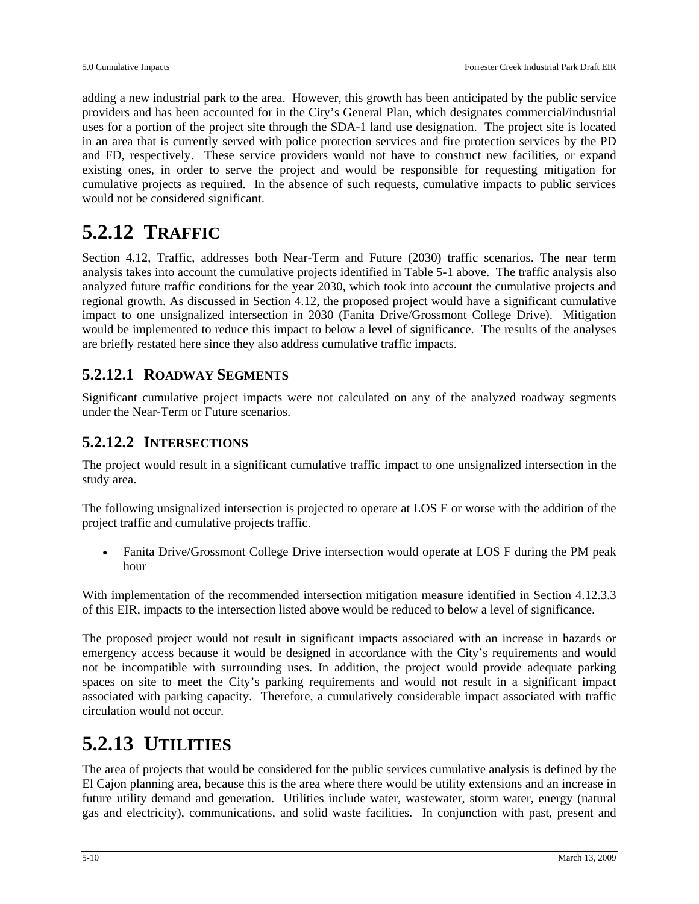adding a new industrial park to the area. However, this growth has been anticipated by the public service providers and has been accounted for in the City's General Plan, which designates commercial/industrial uses for a portion of the project site through the SDA-1 land use designation. The project site is located in an area that is currently served with police protection services and fire protection services by the PD and FD, respectively. These service providers would not have to construct new facilities, or expand existing ones, in order to serve the project and would be responsible for requesting mitigation for cumulative projects as required. In the absence of such requests, cumulative impacts to public services would not be considered significant.

## **5.2.12 TRAFFIC**

Section 4.12, Traffic, addresses both Near-Term and Future (2030) traffic scenarios. The near term analysis takes into account the cumulative projects identified in Table 5-1 above. The traffic analysis also analyzed future traffic conditions for the year 2030, which took into account the cumulative projects and regional growth. As discussed in Section 4.12, the proposed project would have a significant cumulative impact to one unsignalized intersection in 2030 (Fanita Drive/Grossmont College Drive). Mitigation would be implemented to reduce this impact to below a level of significance. The results of the analyses are briefly restated here since they also address cumulative traffic impacts.

#### **5.2.12.1 ROADWAY SEGMENTS**

Significant cumulative project impacts were not calculated on any of the analyzed roadway segments under the Near-Term or Future scenarios.

#### **5.2.12.2 INTERSECTIONS**

The project would result in a significant cumulative traffic impact to one unsignalized intersection in the study area.

The following unsignalized intersection is projected to operate at LOS E or worse with the addition of the project traffic and cumulative projects traffic.

• Fanita Drive/Grossmont College Drive intersection would operate at LOS F during the PM peak hour

With implementation of the recommended intersection mitigation measure identified in Section 4.12.3.3 of this EIR, impacts to the intersection listed above would be reduced to below a level of significance.

The proposed project would not result in significant impacts associated with an increase in hazards or emergency access because it would be designed in accordance with the City's requirements and would not be incompatible with surrounding uses. In addition, the project would provide adequate parking spaces on site to meet the City's parking requirements and would not result in a significant impact associated with parking capacity. Therefore, a cumulatively considerable impact associated with traffic circulation would not occur.

#### **5.2.13 UTILITIES**

The area of projects that would be considered for the public services cumulative analysis is defined by the El Cajon planning area, because this is the area where there would be utility extensions and an increase in future utility demand and generation. Utilities include water, wastewater, storm water, energy (natural gas and electricity), communications, and solid waste facilities. In conjunction with past, present and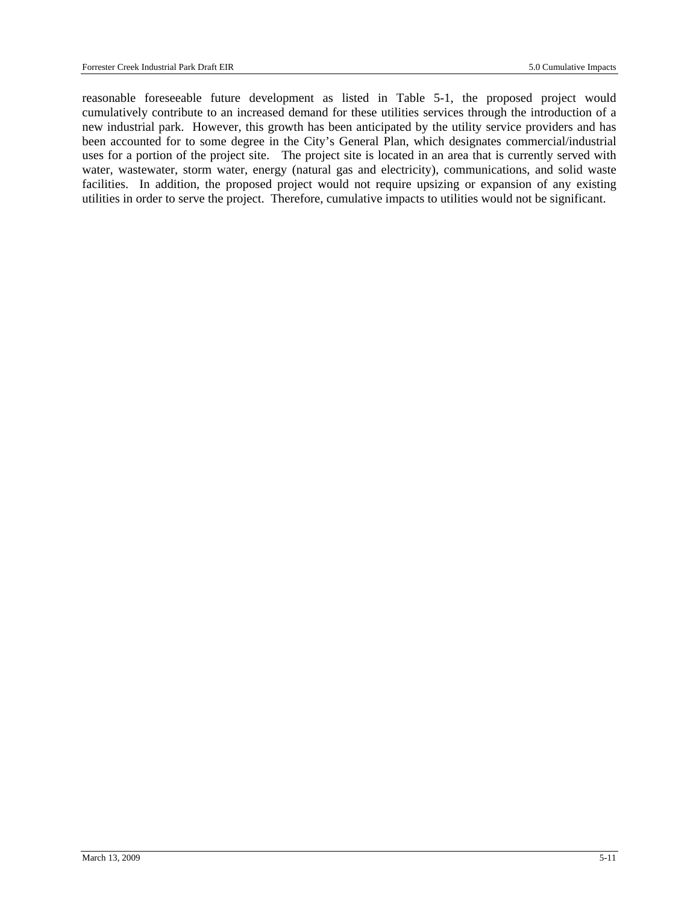reasonable foreseeable future development as listed in Table 5-1, the proposed project would cumulatively contribute to an increased demand for these utilities services through the introduction of a new industrial park. However, this growth has been anticipated by the utility service providers and has been accounted for to some degree in the City's General Plan, which designates commercial/industrial uses for a portion of the project site. The project site is located in an area that is currently served with water, wastewater, storm water, energy (natural gas and electricity), communications, and solid waste facilities. In addition, the proposed project would not require upsizing or expansion of any existing utilities in order to serve the project. Therefore, cumulative impacts to utilities would not be significant.